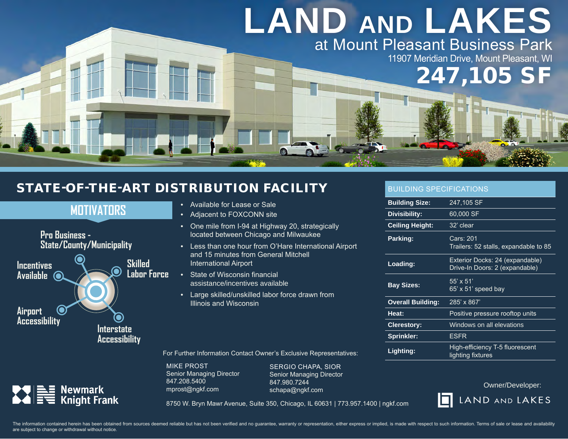## **LAND AND LAKES** at Mount Pleasant Business Park

11907 Meridian Drive, Mount Pleasant, WI

247,105 SF

## STATE-OF-THE-ART DISTRIBUTION FACILITY

**MOTIVATORS**



 $\sum_{i=1}^{n} \frac{1}{i} \sum_{i=1}^{n} \frac{1}{i} \sum_{i=1}^{n} \frac{1}{i} \sum_{i=1}^{n} \frac{1}{i} \sum_{i=1}^{n} \frac{1}{i} \sum_{i=1}^{n} \frac{1}{i} \sum_{i=1}^{n} \frac{1}{i} \sum_{i=1}^{n} \frac{1}{i} \sum_{i=1}^{n} \frac{1}{i} \sum_{i=1}^{n} \frac{1}{i} \sum_{i=1}^{n} \frac{1}{i} \sum_{i=1}^{n} \frac{1}{i} \sum_{i=1}^{n} \frac{1}{i$ 

- Available for Lease or Sale
- Adjacent to FOXCONN site
- One mile from I-94 at Highway 20, strategically located between Chicago and Milwaukee
- Less than one hour from O'Hare International Airport and 15 minutes from General Mitchell International Airport
- State of Wisconsin financial assistance/incentives available
- Large skilled/unskilled labor force drawn from Illinois and Wisconsin

For Further Information Contact Owner's Exclusive Representatives:

MIKE PROST Senior Managing Director 847.208.5400 mprost@ngkf.com

SERGIO CHAPA, SIOR Senior Managing Director 847.980.7244 schapa@ngkf.com

BUILDING SPECIFICATIONS

| <b>Building Size:</b>    | 247,105 SF                                                        |
|--------------------------|-------------------------------------------------------------------|
| Divisibility:            | 60,000 SF                                                         |
| <b>Ceiling Height:</b>   | 32' clear                                                         |
| Parking:                 | Cars: 201<br>Trailers: 52 stalls, expandable to 85                |
| Loading:                 | Exterior Docks: 24 (expandable)<br>Drive-In Doors: 2 (expandable) |
| <b>Bay Sizes:</b>        | $55' \times 51'$<br>$65'$ x 51' speed bay                         |
| <b>Overall Building:</b> | 285' x 867'                                                       |
| Heat:                    | Positive pressure rooftop units                                   |
| <b>Clerestory:</b>       | Windows on all elevations                                         |
| <b>Sprinkler:</b>        | <b>ESFR</b>                                                       |
| Lighting:                | High-efficiency T-5 fluorescent<br>lighting fixtures              |

Owner/Developer:



8750 W. Bryn Mawr Avenue, Suite 350, Chicago, IL 60631 | 773.957.1400 | ngkf.com

The information contained herein has been obtained from sources deemed reliable but has not been verified and no quarantee, warranty or representation, either express or implied, is made with respect to such information. T are subject to change or withdrawal without notice.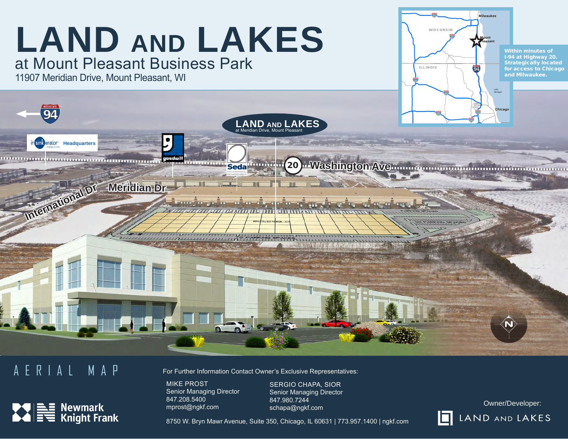

## AERIAL MAP



For Further Information Contact Owner's Exclusive Representatives:

MIKE PROST Senior Managing Director 847.208.5400 mprost@ngkf.com

SERGIO CHAPA, SIOR Senior Managing Director 847.980.7244 schapa@ngkf.com

Owner/Developer: LAND AND LAKES

8750 W. Bryn Mawr Avenue, Suite 350, Chicago, IL 60631 | 773.957.1400 | ngkf.com